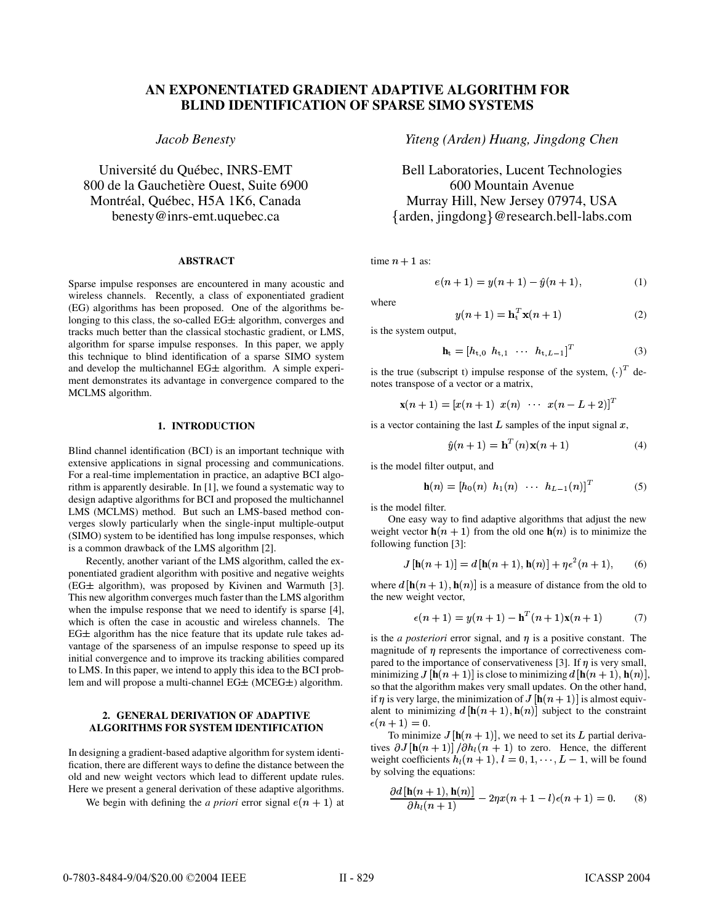# **AN EXPONENTIATED GRADIENT ADAPTIVE ALGORITHM FOR BLIND IDENTIFICATION OF SPARSE SIMO SYSTEMS**

## *Jacob Benesty*

Université du Québec, INRS-EMT 800 de la Gauchetière Ouest, Suite 6900 Montréal, Québec, H5A 1K6, Canada benesty@inrs-emt.uquebec.ca

### **ABSTRACT**

Sparse impulse responses are encountered in many acoustic and wireless channels. Recently, a class of exponentiated gradient (EG) algorithms has been proposed. One of the algorithms belonging to this class, the so-called  $EG\pm$  algorithm, converges and tracks much better than the classical stochastic gradient, or LMS, algorithm for sparse impulse responses. In this paper, we apply this technique to blind identification of a sparse SIMO system and develop the multichannel  $EG\pm$  algorithm. A simple experiment demonstrates its advantage in convergence compared to the MCLMS algorithm.

### **1. INTRODUCTION**

Blind channel identification (BCI) is an important technique with extensive applications in signal processing and communications. For a real-time implementation in practice, an adaptive BCI algorithm is apparently desirable. In [1], we found a systematic way to design adaptive algorithms for BCI and proposed the multichannel LMS (MCLMS) method. But such an LMS-based method converges slowly particularly when the single-input multiple-output (SIMO) system to be identified has long impulse responses, which is a common drawback of the LMS algorithm [2].

Recently, another variant of the LMS algorithm, called the exponentiated gradient algorithm with positive and negative weights  $(EG±$  algorithm), was proposed by Kivinen and Warmuth [3]. This new algorithm converges much faster than the LMS algorithm when the impulse response that we need to identify is sparse [4], which is often the case in acoustic and wireless channels. The  $EG\pm$  algorithm has the nice feature that its update rule takes advantage of the sparseness of an impulse response to speed up its initial convergence and to improve its tracking abilities compared to LMS. In this paper, we intend to apply this idea to the BCI problem and will propose a multi-channel  $EG\pm$  (MCEG $\pm$ ) algorithm.

### **2. GENERAL DERIVATION OF ADAPTIVE ALGORITHMS FOR SYSTEM IDENTIFICATION**

In designing a gradient-based adaptive algorithm for system identification, there are different ways to define the distance between the old and new weight vectors which lead to different update rules. Here we present a general derivation of these adaptive algorithms.

We begin with defining the *a priori* error signal  $e(n + 1)$  at

*Yiteng (Arden) Huang, Jingdong Chen*

Bell Laboratories, Lucent Technologies 600 Mountain Avenue arden, jingdong @research.bell-labs.com Murray Hill, New Jersey 07974, USA

time  $n + 1$  as:

$$
e(n+1) = y(n+1) - \hat{y}(n+1),
$$
 (1)

where

$$
y(n+1) = \mathbf{h}_t^T \mathbf{x}(n+1)
$$
 (2)

is the system output,

$$
\mathbf{h}_{t} = [h_{t,0} \ \ h_{t,1} \ \ \cdots \ \ h_{t,L-1}]^{T} \tag{3}
$$

is the true (subscript t) impulse response of the system,  $\binom{1}{1}$  denotes transpose of a vector or a matrix,

 $\mathbf{x}(n+1) = [x(n+1) \ x(n) \ \cdots \ x(n-L+2)]^T$ 

is a vector containing the last  $L$  samples of the input signal  $x$ ,

$$
\hat{y}(n+1) = \mathbf{h}^{T}(n)\mathbf{x}(n+1)
$$
\n(4)

is the model filter output, and

$$
\mathbf{h}(n) = [h_0(n) \ \ h_1(n) \ \ \cdots \ \ h_{L-1}(n)]^T \tag{5}
$$

is the model filter.

One easy way to find adaptive algorithms that adjust the new weight vector  $h(n + 1)$  from the old one  $h(n)$  is to minimize the following function [3]:

$$
J[\mathbf{h}(n+1)] = d[\mathbf{h}(n+1), \mathbf{h}(n)] + \eta \epsilon^2(n+1), \qquad (6)
$$

where  $d$   $[\mathbf{h}(n+1), \mathbf{h}(n)]$  is a measure of distance from the old to the new weight vector,

$$
\epsilon(n+1) = y(n+1) - \mathbf{h}^{T}(n+1)\mathbf{x}(n+1)
$$
 (7)

is the *a posteriori* error signal, and  $\eta$  is a positive constant. The magnitude of  $\eta$  represents the importance of correctiveness compared to the importance of conservativeness [3]. If  $\eta$  is very small, minimizing  $J$   $[{\bf h}(n+1)]$  is close to minimizing  $d$   $[{\bf h}(n+1),{\bf h}(n)]$ , so that the algorithm makes very small updates. On the other hand, if  $\eta$  is very large, the minimization of  $J$   $[\mathbf{h}(n+1)]$  is almost equivalent to minimizing  $d$   $[\mathbf{h}(n+1), \mathbf{h}(n)]$  subject to the constraint  $\epsilon(n+1) = 0.$ 

To minimize  $J$  [ $\mathbf{h}(n+1)$ ], we need to set its L partial derivatives  $\partial J$   $[\mathbf{h}(n+1)] / \partial h_l(n+1)$  to zero. Hence, the different weight coefficients  $h_l(n + 1)$ ,  $l = 0, 1, \dots, L - 1$ , will be found by solving the equations:

$$
\frac{\partial d\left[\mathbf{h}(n+1), \mathbf{h}(n)\right]}{\partial h_l(n+1)} - 2\eta x(n+1-l)\epsilon(n+1) = 0. \tag{8}
$$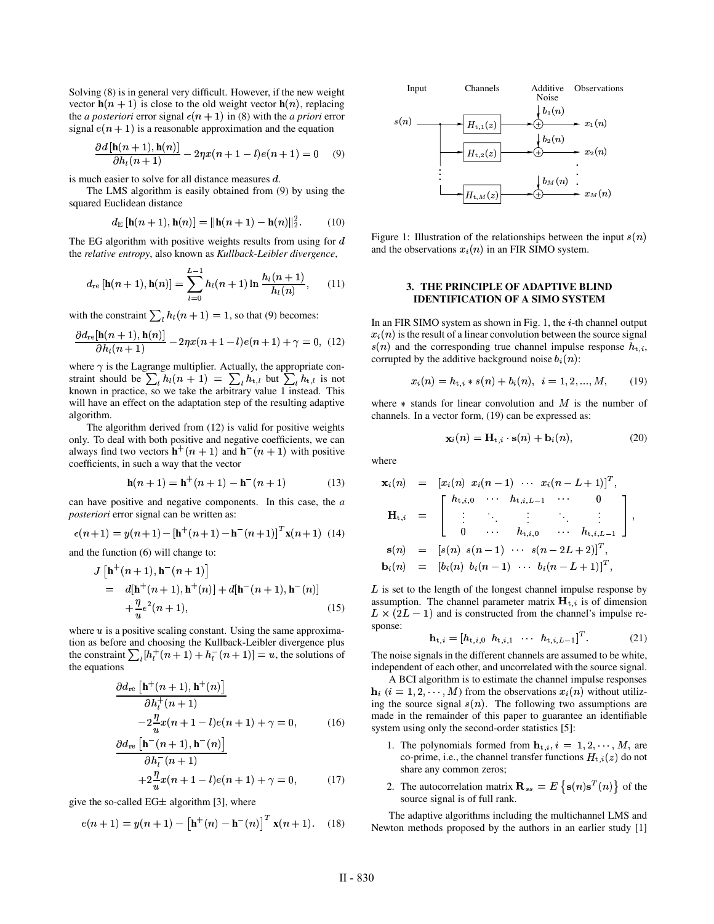Solving (8) is in general very difficult. However, if the new weight vector  $h(n + 1)$  is close to the old weight vector  $h(n)$ , replacing the *a posteriori* error signal  $\epsilon(n + 1)$  in (8) with the *a priori* error signal  $e(n + 1)$  is a reasonable approximation and the equation

$$
\frac{\partial d\left[\mathbf{h}(n+1), \mathbf{h}(n)\right]}{\partial h_l(n+1)} - 2\eta x(n+1-l)e(n+1) = 0 \quad (9)
$$

is much easier to solve for all distance measures  $d$ .

The LMS algorithm is easily obtained from (9) by using the squared Euclidean distance

$$
d_{\mathcal{E}}[\mathbf{h}(n+1), \mathbf{h}(n)] = ||\mathbf{h}(n+1) - \mathbf{h}(n)||_2^2.
$$
 (10)

The EG algorithm with positive weights results from using for  $d$ the *relative entropy*, also known as *Kullback-Leibler divergence*,

$$
d_{\rm re}\left[\mathbf{h}(n+1),\mathbf{h}(n)\right] = \sum_{l=0}^{L-1} h_l(n+1)\ln\frac{h_l(n+1)}{h_l(n)},\qquad(11)
$$

with the constraint  $\sum_{l} h_l(n + 1) = 1$ , so that (9) becomes:

$$
\frac{\partial d_{\text{re}}[\mathbf{h}(n+1), \mathbf{h}(n)]}{\partial h_l(n+1)} - 2\eta x(n+1-l)e(n+1) + \gamma = 0, \tag{12}
$$

where  $\gamma$  is the Lagrange multiplier. Actually, the appropriate constraint should be  $\sum_{l} h_l(n+1) = \sum_{l} h_{t,l}$  but  $\sum_{l} h_{t,l}$  is not known in practice, so we take the arbitrary value 1 instead. This will have an effect on the adaptation step of the resulting adaptive algorithm.

The algorithm derived from (12) is valid for positive weights only. To deal with both positive and negative coefficients, we can always find two vectors  $\mathbf{h}^+(n+1)$  and  $\mathbf{h}^-(n+1)$  with positive coefficients, in such a way that the vector

$$
\mathbf{h}(n+1) = \mathbf{h}^+(n+1) - \mathbf{h}^-(n+1) \tag{13}
$$

can have positive and negative components. In this case, the *a posteriori* error signal can be written as:

$$
\epsilon(n+1) = y(n+1) - [\mathbf{h}^+(n+1) - \mathbf{h}^-(n+1)]^T \mathbf{x}(n+1)
$$
 (14)

and the function (6) will change to:

$$
J\left[\mathbf{h}^+(n+1), \mathbf{h}^-(n+1)\right]
$$
  
=  $d[\mathbf{h}^+(n+1), \mathbf{h}^+(n)] + d[\mathbf{h}^-(n+1), \mathbf{h}^-(n)]$   
+  $\frac{\eta}{u} \epsilon^2 (n+1),$  (15)

where  $u$  is a positive scaling constant. Using the same approximation as before and choosing the Kullback-Leibler divergence plus the constraint  $\sum_{l} [h_l^+(n+1) + h_l^-(n+1)] = u$ , the solutions of the equations

$$
\frac{\partial d_{\text{re}}\left[\mathbf{h}^+(n+1), \mathbf{h}^+(n)\right]}{\partial h_l^+(n+1)}
$$
  
-2 $\frac{\eta}{u}x(n+1-l)e(n+1) + \gamma = 0,$  (16)

$$
\frac{\partial d_{\text{re}}\left[\mathbf{h}^-(n+1), \mathbf{h}^-(n)\right]}{\partial h_i^-(n+1)} + 2\frac{\eta}{n}x(n+1-l)e(n+1) + \gamma = 0, \tag{17}
$$

give the so-called EG $\pm$  algorithm [3], where

$$
e(n + 1) = y(n + 1) - [h^+(n) - h^-(n)]^T x(n + 1).
$$
 (18)



Figure 1: Illustration of the relationships between the input  $s(n)$ and the observations  $x_i(n)$  in an FIR SIMO system.

### **3. THE PRINCIPLE OF ADAPTIVE BLIND IDENTIFICATION OF A SIMO SYSTEM**

In an FIR SIMO system as shown in Fig. 1, the  $i$ -th channel output  $x_i(n)$  is the result of a linear convolution between the source signal  $s(n)$  and the corresponding true channel impulse response  $h_{t,i}$ , corrupted by the additive background noise  $b_i(n)$ :

$$
x_i(n) = h_{t,i} * s(n) + b_i(n), \ \ i = 1, 2, ..., M, \qquad (19)
$$

where  $*$  stands for linear convolution and  $M$  is the number of channels. In a vector form, (19) can be expressed as:

$$
\mathbf{x}_{i}(n) = \mathbf{H}_{t,i} \cdot \mathbf{s}(n) + \mathbf{b}_{i}(n), \tag{20}
$$

where

$$
\mathbf{x}_{i}(n) = [x_{i}(n) x_{i}(n-1) \cdots x_{i}(n-L+1)]^{T},
$$
\n
$$
\mathbf{H}_{t,i} = \begin{bmatrix}\nh_{t,i,0} & \cdots & h_{t,i,L-1} & \cdots & 0 \\
\vdots & \ddots & \vdots & \ddots & \vdots \\
0 & \cdots & h_{t,i,0} & \cdots & h_{t,i,L-1} \\
\vdots & \vdots & \ddots & \vdots & \vdots \\
0 & \cdots & h_{t,i,0} & \cdots & h_{t,i,L-1}\n\end{bmatrix},
$$
\n
$$
\mathbf{s}(n) = [s(n) s(n-1) \cdots s(n-2L+2)]^{T},
$$
\n
$$
\mathbf{b}_{i}(n) = [b_{i}(n) b_{i}(n-1) \cdots b_{i}(n-L+1)]^{T},
$$

 $L$  is set to the length of the longest channel impulse response by assumption. The channel parameter matrix  $H_{t,i}$  is of dimension  $L \times (2L - 1)$  and is constructed from the channel's impulse response:

$$
\mathbf{h}_{t,i} = [h_{t,i,0} \ \ h_{t,i,1} \ \ \cdots \ \ h_{t,i,L-1}]^T. \tag{21}
$$

The noise signals in the different channels are assumed to be white, independent of each other, and uncorrelated with the source signal.

A BCI algorithm is to estimate the channel impulse responses  **(** $i = 1, 2, \dots, M$ **) from the observations**  $x_i(n)$  **without utiliz**ing the source signal  $s(n)$ . The following two assumptions are made in the remainder of this paper to guarantee an identifiable system using only the second-order statistics [5]:

- 1. The polynomials formed from  $\mathbf{h}_{t,i}, i = 1, 2, \cdots, M$ , are co-prime, i.e., the channel transfer functions  $H_{t,i}(z)$  do not share any common zeros;
- 2. The autocorrelation matrix  $\mathbf{R}_{ss} = E \{ \mathbf{s}(n) \mathbf{s}^T(n) \}$  of the source signal is of full rank.

The adaptive algorithms including the multichannel LMS and Newton methods proposed by the authors in an earlier study [1]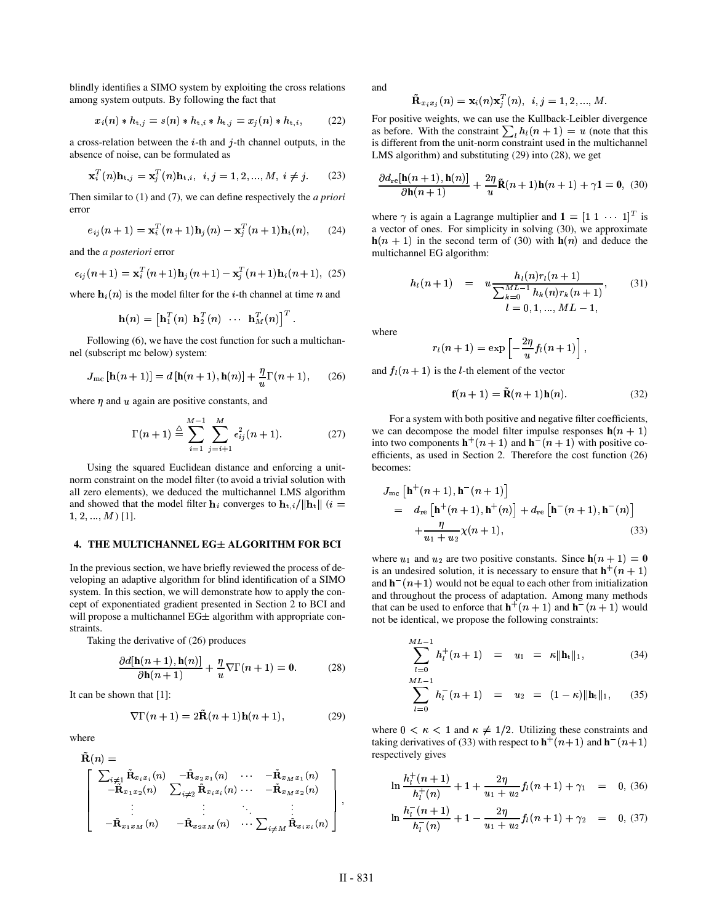blindly identifies a SIMO system by exploiting the cross relations among system outputs. By following the fact that

$$
x_i(n) * h_{t,j} = s(n) * h_{t,i} * h_{t,j} = x_j(n) * h_{t,i},
$$
 (22)

a cross-relation between the  $i$ -th and  $j$ -th channel outputs, in the absence of noise, can be formulated as

$$
\mathbf{x}_i^T(n)\mathbf{h}_{t,j} = \mathbf{x}_j^T(n)\mathbf{h}_{t,i}, \ \ i, j = 1, 2, ..., M, \ i \neq j. \tag{23}
$$

Then similar to (1) and (7), we can define respectively the *a priori* error

$$
e_{ij}(n+1) = \mathbf{x}_i^T(n+1)\mathbf{h}_j(n) - \mathbf{x}_j^T(n+1)\mathbf{h}_i(n), \qquad (24)
$$

and the *a posteriori* error

$$
\epsilon_{ij}(n+1) = \mathbf{x}_i^T(n+1)\mathbf{h}_j(n+1) - \mathbf{x}_j^T(n+1)\mathbf{h}_i(n+1), \tag{25}
$$

where  $\mathbf{h}_i(n)$  is the model filter for the *i*-th channel at time *n* and

$$
\mathbf{h}(n) = \begin{bmatrix} \mathbf{h}_1^T(n) ~~ \mathbf{h}_2^T(n) & \cdots & \mathbf{h}_M^T(n) \end{bmatrix}^T.
$$

Following (6), we have the cost function for such a multichannel (subscript mc below) system:

$$
J_{\rm mc}\left[\mathbf{h}(n+1)\right] = d\left[\mathbf{h}(n+1), \mathbf{h}(n)\right] + \frac{\eta}{u}\Gamma(n+1),\qquad(26)
$$

where  $\eta$  and  $u$  again are positive constants, and

$$
\Gamma(n+1) \stackrel{\triangle}{=} \sum_{i=1}^{M-1} \sum_{j=i+1}^{M} \epsilon_{ij}^2(n+1).
$$
 (27)

Using the squared Euclidean distance and enforcing a unitnorm constraint on the model filter (to avoid a trivial solution with all zero elements), we deduced the multichannel LMS algorithm and showed that the model filter  $\mathbf{h}_i$  converges to  $\mathbf{h}_{t,i}/\|\mathbf{h}_t\|$  (*i* =  $1, 2, ..., M$  [1].

#### **4. THE MULTICHANNEL EG ALGORITHM FOR BCI**

In the previous section, we have briefly reviewed the process of developing an adaptive algorithm for blind identification of a SIMO system. In this section, we will demonstrate how to apply the concept of exponentiated gradient presented in Section 2 to BCI and will propose a multichannel  $EG\pm$  algorithm with appropriate constraints.

Taking the derivative of (26) produces

$$
\frac{\partial d[\mathbf{h}(n+1), \mathbf{h}(n)]}{\partial \mathbf{h}(n+1)} + \frac{\eta}{u} \nabla \Gamma(n+1) = \mathbf{0}.
$$
 (28)

It can be shown that [1]:

$$
\nabla \Gamma(n+1) = 2\mathbf{R}(n+1)\mathbf{h}(n+1),\tag{29}
$$

where

$$
\tilde{\mathbf{R}}(n) = \begin{bmatrix}\n\sum_{i \neq 1} \tilde{\mathbf{R}}_{x_i x_i}(n) & -\tilde{\mathbf{R}}_{x_2 x_1}(n) & \cdots & -\tilde{\mathbf{R}}_{x_M x_1}(n) \\
-\tilde{\mathbf{R}}_{x_1 x_2}(n) & \sum_{i \neq 2} \tilde{\mathbf{R}}_{x_i x_i}(n) & \cdots & -\tilde{\mathbf{R}}_{x_M x_2}(n) \\
\vdots & \vdots & \ddots & \vdots \\
-\tilde{\mathbf{R}}_{x_1 x_M}(n) & -\tilde{\mathbf{R}}_{x_2 x_M}(n) & \cdots & \sum_{i \neq M} \tilde{\mathbf{R}}_{x_i x_i}(n)\n\end{bmatrix},
$$

and

$$
\tilde{\mathbf{R}}_{x_ix_j}(n)=\mathbf{x}_i(n)\mathbf{x}_j^T(n),\ \ i,j=1,2,...,M.
$$

For positive weights, we can use the Kullback-Leibler divergence as before. With the constraint  $\sum_{i} h_i(n+1) = u$  (note that this is different from the unit-norm constraint used in the multichannel LMS algorithm) and substituting (29) into (28), we get

$$
\frac{\partial d_{\rm re}[\mathbf{h}(n+1), \mathbf{h}(n)]}{\partial \mathbf{h}(n+1)} + \frac{2\eta}{u}\tilde{\mathbf{R}}(n+1)\mathbf{h}(n+1) + \gamma \mathbf{1} = \mathbf{0}, \tag{30}
$$

where  $\gamma$  is again a Lagrange multiplier and  $\mathbf{1} = \begin{bmatrix} 1 & 1 & \cdots & 1 \end{bmatrix}^T$  is a vector of ones. For simplicity in solving (30), we approximate  $h(n + 1)$  in the second term of (30) with  $h(n)$  and deduce the multichannel EG algorithm:

$$
h_l(n+1) = u \frac{h_l(n)r_l(n+1)}{\sum_{k=0}^{ML-1} h_k(n)r_k(n+1)},
$$
(31)  

$$
l = 0, 1, ..., ML - 1,
$$

where

$$
r_l(n+1)=\exp\left[-\frac{2\eta}{u}f_l(n+1)\right],
$$

and  $f_l(n + 1)$  is the *l*-th element of the vector

$$
\mathbf{f}(n+1) = \mathbf{R}(n+1)\mathbf{h}(n). \tag{32}
$$

For a system with both positive and negative filter coefficients, we can decompose the model filter impulse responses  $h(n + 1)$ into two components  $\mathbf{h}^+(n+1)$  and  $\mathbf{h}^-(n+1)$  with positive coefficients, as used in Section 2. Therefore the cost function (26) becomes:

$$
J_{\rm mc} \left[ \mathbf{h}^+(n+1), \mathbf{h}^-(n+1) \right]
$$
  
=  $d_{\rm re} \left[ \mathbf{h}^+(n+1), \mathbf{h}^+(n) \right] + d_{\rm re} \left[ \mathbf{h}^-(n+1), \mathbf{h}^-(n) \right]$   
+  $\frac{\eta}{u_1 + u_2} \chi(n+1),$  (33)

where  $u_1$  and  $u_2$  are two positive constants. Since  $h(n + 1) = 0$ is an undesired solution, it is necessary to ensure that  $h^+(n+1)$ and  $\mathbf{h}^-(n+1)$  would not be equal to each other from initialization and throughout the process of adaptation. Among many methods that can be used to enforce that  $\mathbf{h}^+(n+1)$  and  $\mathbf{h}^-(n+1)$  would not be identical, we propose the following constraints:

$$
\sum_{l=0}^{ML-1} h_l^+(n+1) = u_1 = \kappa \|\mathbf{h}_t\|_1, \tag{34}
$$

$$
\sum_{l=0}^{ML-1} h_l^-(n+1) = u_2 = (1-\kappa) ||\mathbf{h}_t||_1, \qquad (35)
$$

where  $0 \lt \kappa \lt 1$  and  $\kappa \neq 1/2$ . Utilizing these constraints and taking derivatives of (33) with respect to  $\mathbf{h}^+(n+1)$  and  $\mathbf{h}^-(n+1)$ respectively gives

$$
\ln \frac{h_l^+(n+1)}{h_l^+(n)} + 1 + \frac{2\eta}{u_1 + u_2} f_l(n+1) + \gamma_1 = 0, (36)
$$
  

$$
\ln \frac{h_l^-(n+1)}{h_l^-(n)} + 1 - \frac{2\eta}{u_1 + u_2} f_l(n+1) + \gamma_2 = 0, (37)
$$